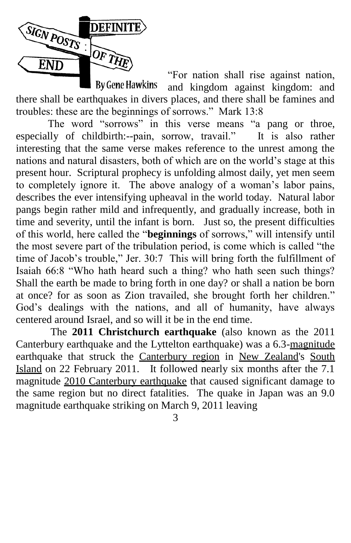

―For nation shall rise against nation, **By Gene Hawkins** and kingdom against kingdom: and there shall be earthquakes in divers places, and there shall be famines and troubles: these are the beginnings of sorrows." Mark 13:8

The word "sorrows" in this verse means "a pang or throe, especially of childbirth:--pain, sorrow, travail." It is also rather interesting that the same verse makes reference to the unrest among the nations and natural disasters, both of which are on the world's stage at this present hour. Scriptural prophecy is unfolding almost daily, yet men seem to completely ignore it. The above analogy of a woman's labor pains, describes the ever intensifying upheaval in the world today. Natural labor pangs begin rather mild and infrequently, and gradually increase, both in time and severity, until the infant is born. Just so, the present difficulties of this world, here called the "**beginnings** of sorrows," will intensify until the most severe part of the tribulation period, is come which is called "the time of Jacob's trouble," Jer. 30:7 This will bring forth the fulfillment of Isaiah 66:8 "Who hath heard such a thing? who hath seen such things? Shall the earth be made to bring forth in one day? or shall a nation be born at once? for as soon as Zion travailed, she brought forth her children." God's dealings with the nations, and all of humanity, have always centered around Israel, and so will it be in the end time.

The **2011 Christchurch earthquake** (also known as the 2011 Canterbury earthquake and the Lyttelton earthquake) was a 6.3-magnitude earthquake that struck the Canterbury region in New Zealand's South Island on 22 February 2011. It followed nearly six months after the 7.1 magnitude 2010 Canterbury earthquake that caused significant damage to the same region but no direct fatalities. The quake in Japan was an 9.0 magnitude earthquake striking on March 9, 2011 leaving

3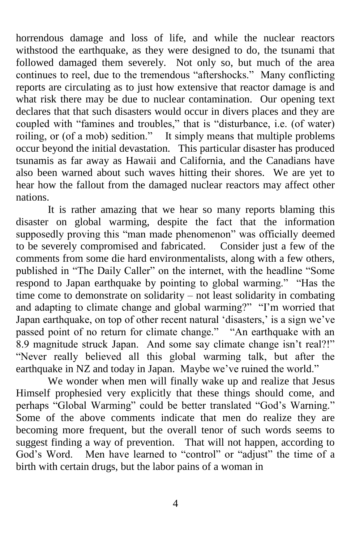horrendous damage and loss of life, and while the nuclear reactors withstood the earthquake, as they were designed to do, the tsunami that followed damaged them severely. Not only so, but much of the area continues to reel, due to the tremendous "aftershocks." Many conflicting reports are circulating as to just how extensive that reactor damage is and what risk there may be due to nuclear contamination. Our opening text declares that that such disasters would occur in divers places and they are coupled with "famines and troubles," that is "disturbance, i.e. (of water) roiling, or (of a mob) sedition." It simply means that multiple problems occur beyond the initial devastation. This particular disaster has produced tsunamis as far away as Hawaii and California, and the Canadians have also been warned about such waves hitting their shores. We are yet to hear how the fallout from the damaged nuclear reactors may affect other nations.

It is rather amazing that we hear so many reports blaming this disaster on global warming, despite the fact that the information supposedly proving this "man made phenomenon" was officially deemed to be severely compromised and fabricated. Consider just a few of the comments from some die hard environmentalists, along with a few others, published in "The Daily Caller" on the internet, with the headline "Some respond to Japan earthquake by pointing to global warming." "Has the time come to demonstrate on solidarity – not least solidarity in combating and adapting to climate change and global warming?" "I'm worried that Japan earthquake, on top of other recent natural 'disasters,' is a sign we've passed point of no return for climate change." "An earthquake with an 8.9 magnitude struck Japan. And some say climate change isn't real?!" ―Never really believed all this global warming talk, but after the earthquake in NZ and today in Japan. Maybe we've ruined the world."

We wonder when men will finally wake up and realize that Jesus Himself prophesied very explicitly that these things should come, and perhaps "Global Warming" could be better translated "God's Warning." Some of the above comments indicate that men do realize they are becoming more frequent, but the overall tenor of such words seems to suggest finding a way of prevention. That will not happen, according to God's Word. Men have learned to "control" or "adjust" the time of a birth with certain drugs, but the labor pains of a woman in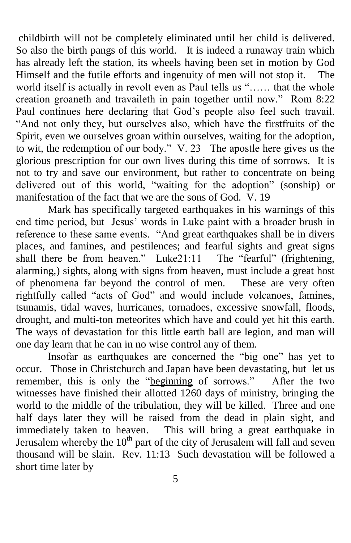childbirth will not be completely eliminated until her child is delivered. So also the birth pangs of this world. It is indeed a runaway train which has already left the station, its wheels having been set in motion by God Himself and the futile efforts and ingenuity of men will not stop it. The world itself is actually in revolt even as Paul tells us "...... that the whole creation groaneth and travaileth in pain together until now." Rom 8:22 Paul continues here declaring that God's people also feel such travail. "And not only they, but ourselves also, which have the firstfruits of the Spirit, even we ourselves groan within ourselves, waiting for the adoption, to wit, the redemption of our body." V. 23 The apostle here gives us the glorious prescription for our own lives during this time of sorrows. It is not to try and save our environment, but rather to concentrate on being delivered out of this world, "waiting for the adoption" (sonship) or manifestation of the fact that we are the sons of God. V. 19

Mark has specifically targeted earthquakes in his warnings of this end time period, but Jesus' words in Luke paint with a broader brush in reference to these same events. "And great earthquakes shall be in divers places, and famines, and pestilences; and fearful sights and great signs shall there be from heaven." Luke21:11 The "fearful" (frightening, alarming,) sights, along with signs from heaven, must include a great host of phenomena far beyond the control of men. These are very often rightfully called "acts of God" and would include volcanoes, famines, tsunamis, tidal waves, hurricanes, tornadoes, excessive snowfall, floods, drought, and multi-ton meteorites which have and could yet hit this earth. The ways of devastation for this little earth ball are legion, and man will one day learn that he can in no wise control any of them.

Insofar as earthquakes are concerned the "big one" has yet to occur. Those in Christchurch and Japan have been devastating, but let us remember, this is only the "beginning of sorrows." After the two witnesses have finished their allotted 1260 days of ministry, bringing the world to the middle of the tribulation, they will be killed. Three and one half days later they will be raised from the dead in plain sight, and immediately taken to heaven. This will bring a great earthquake in This will bring a great earthquake in Jerusalem whereby the 10<sup>th</sup> part of the city of Jerusalem will fall and seven thousand will be slain. Rev. 11:13 Such devastation will be followed a short time later by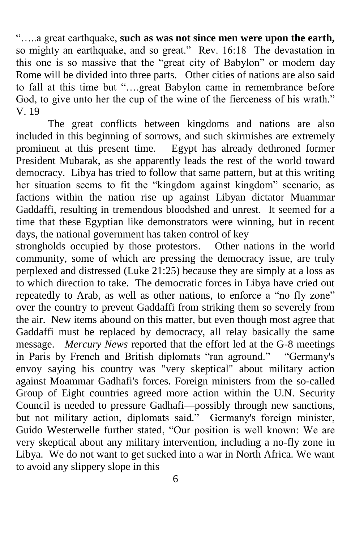―…..a great earthquake, **such as was not since men were upon the earth,** so mighty an earthquake, and so great." Rev. 16:18 The devastation in this one is so massive that the "great city of Babylon" or modern day Rome will be divided into three parts. Other cities of nations are also said to fall at this time but "....great Babylon came in remembrance before God, to give unto her the cup of the wine of the fierceness of his wrath." V. 19

The great conflicts between kingdoms and nations are also included in this beginning of sorrows, and such skirmishes are extremely prominent at this present time. Egypt has already dethroned former President Mubarak, as she apparently leads the rest of the world toward democracy. Libya has tried to follow that same pattern, but at this writing her situation seems to fit the "kingdom against kingdom" scenario, as factions within the nation rise up against Libyan dictator Muammar Gaddaffi, resulting in tremendous bloodshed and unrest. It seemed for a time that these Egyptian like demonstrators were winning, but in recent days, the national government has taken control of key

strongholds occupied by those protestors. Other nations in the world community, some of which are pressing the democracy issue, are truly perplexed and distressed (Luke 21:25) because they are simply at a loss as to which direction to take. The democratic forces in Libya have cried out repeatedly to Arab, as well as other nations, to enforce a "no fly zone" over the country to prevent Gaddaffi from striking them so severely from the air. New items abound on this matter, but even though most agree that Gaddaffi must be replaced by democracy, all relay basically the same message. *Mercury News* reported that the effort led at the G-8 meetings in Paris by French and British diplomats "ran aground." "Germany's envoy saying his country was "very skeptical" about military action against Moammar Gadhafi's forces. Foreign ministers from the so-called Group of Eight countries agreed more action within the U.N. Security Council is needed to pressure Gadhafi—possibly through new sanctions, but not military action, diplomats said." Germany's foreign minister, Guido Westerwelle further stated, "Our position is well known: We are very skeptical about any military intervention, including a no-fly zone in Libya. We do not want to get sucked into a war in North Africa. We want to avoid any slippery slope in this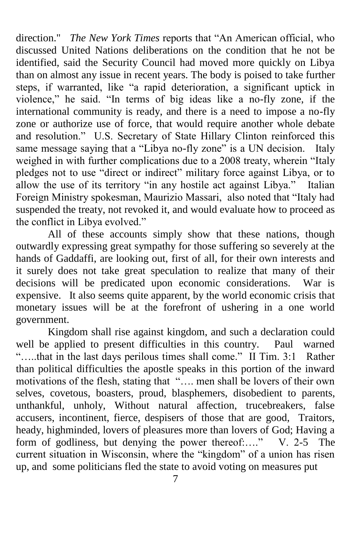direction." *The New York Times* reports that "An American official, who discussed United Nations deliberations on the condition that he not be identified, said the Security Council had moved more quickly on Libya than on almost any issue in recent years. The body is poised to take further steps, if warranted, like "a rapid deterioration, a significant uptick in violence," he said. "In terms of big ideas like a no-fly zone, if the international community is ready, and there is a need to impose a no-fly zone or authorize use of force, that would require another whole debate and resolution." U.S. Secretary of State Hillary Clinton reinforced this same message saying that a "Libya no-fly zone" is a UN decision. Italy weighed in with further complications due to a 2008 treaty, wherein "Italy pledges not to use "direct or indirect" military force against Libya, or to allow the use of its territory "in any hostile act against Libya." Italian Foreign Ministry spokesman, Maurizio Massari, also noted that "Italy had suspended the treaty, not revoked it, and would evaluate how to proceed as the conflict in Libya evolved."

All of these accounts simply show that these nations, though outwardly expressing great sympathy for those suffering so severely at the hands of Gaddaffi, are looking out, first of all, for their own interests and it surely does not take great speculation to realize that many of their decisions will be predicated upon economic considerations. War is expensive. It also seems quite apparent, by the world economic crisis that monetary issues will be at the forefront of ushering in a one world government.

Kingdom shall rise against kingdom, and such a declaration could well be applied to present difficulties in this country. Paul warned ".....that in the last days perilous times shall come." II Tim. 3:1 Rather than political difficulties the apostle speaks in this portion of the inward motivations of the flesh, stating that ".... men shall be lovers of their own selves, covetous, boasters, proud, blasphemers, disobedient to parents, unthankful, unholy, Without natural affection, trucebreakers, false accusers, incontinent, fierce, despisers of those that are good, Traitors, heady, highminded, lovers of pleasures more than lovers of God; Having a form of godliness, but denying the power thereof:...." V. 2-5 The current situation in Wisconsin, where the "kingdom" of a union has risen up, and some politicians fled the state to avoid voting on measures put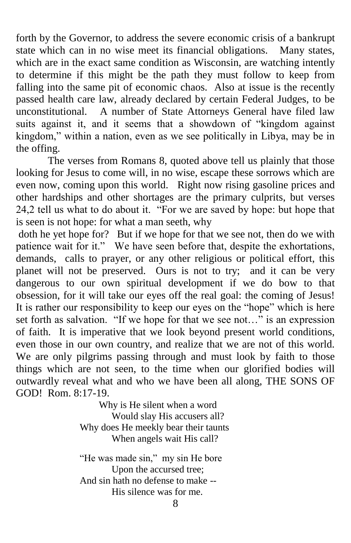forth by the Governor, to address the severe economic crisis of a bankrupt state which can in no wise meet its financial obligations. Many states, which are in the exact same condition as Wisconsin, are watching intently to determine if this might be the path they must follow to keep from falling into the same pit of economic chaos. Also at issue is the recently passed health care law, already declared by certain Federal Judges, to be unconstitutional. A number of State Attorneys General have filed law suits against it, and it seems that a showdown of "kingdom against kingdom," within a nation, even as we see politically in Libya, may be in the offing.

The verses from Romans 8, quoted above tell us plainly that those looking for Jesus to come will, in no wise, escape these sorrows which are even now, coming upon this world. Right now rising gasoline prices and other hardships and other shortages are the primary culprits, but verses 24,2 tell us what to do about it. "For we are saved by hope: but hope that is seen is not hope: for what a man seeth, why

doth he yet hope for? But if we hope for that we see not, then do we with patience wait for it." We have seen before that, despite the exhortations, demands, calls to prayer, or any other religious or political effort, this planet will not be preserved. Ours is not to try; and it can be very dangerous to our own spiritual development if we do bow to that obsession, for it will take our eyes off the real goal: the coming of Jesus! It is rather our responsibility to keep our eyes on the "hope" which is here set forth as salvation. "If we hope for that we see not..." is an expression of faith. It is imperative that we look beyond present world conditions, even those in our own country, and realize that we are not of this world. We are only pilgrims passing through and must look by faith to those things which are not seen, to the time when our glorified bodies will outwardly reveal what and who we have been all along, THE SONS OF GOD! Rom. 8:17-19.

> Why is He silent when a word Would slay His accusers all? Why does He meekly bear their taunts When angels wait His call?

"He was made sin," my sin He bore Upon the accursed tree; And sin hath no defense to make -- His silence was for me.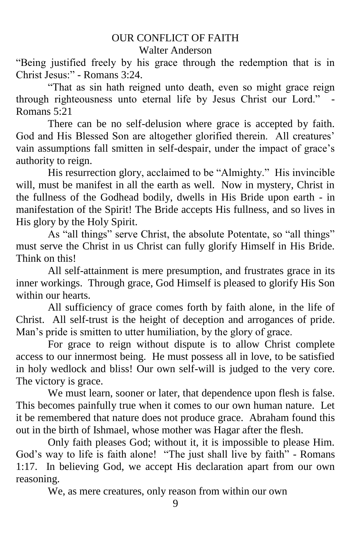## OUR CONFLICT OF FAITH Walter Anderson

"Being justified freely by his grace through the redemption that is in Christ Jesus:" - Romans 3:24.

―That as sin hath reigned unto death, even so might grace reign through righteousness unto eternal life by Jesus Christ our Lord." Romans 5:21

There can be no self-delusion where grace is accepted by faith. God and His Blessed Son are altogether glorified therein. All creatures' vain assumptions fall smitten in self-despair, under the impact of grace's authority to reign.

His resurrection glory, acclaimed to be "Almighty." His invincible will, must be manifest in all the earth as well. Now in mystery, Christ in the fullness of the Godhead bodily, dwells in His Bride upon earth - in manifestation of the Spirit! The Bride accepts His fullness, and so lives in His glory by the Holy Spirit.

As "all things" serve Christ, the absolute Potentate, so "all things" must serve the Christ in us Christ can fully glorify Himself in His Bride. Think on this!

All self-attainment is mere presumption, and frustrates grace in its inner workings. Through grace, God Himself is pleased to glorify His Son within our hearts.

All sufficiency of grace comes forth by faith alone, in the life of Christ. All self-trust is the height of deception and arrogances of pride. Man's pride is smitten to utter humiliation, by the glory of grace.

For grace to reign without dispute is to allow Christ complete access to our innermost being. He must possess all in love, to be satisfied in holy wedlock and bliss! Our own self-will is judged to the very core. The victory is grace.

We must learn, sooner or later, that dependence upon flesh is false. This becomes painfully true when it comes to our own human nature. Let it be remembered that nature does not produce grace. Abraham found this out in the birth of Ishmael, whose mother was Hagar after the flesh.

Only faith pleases God; without it, it is impossible to please Him. God's way to life is faith alone! "The just shall live by faith" - Romans 1:17. In believing God, we accept His declaration apart from our own reasoning.

We, as mere creatures, only reason from within our own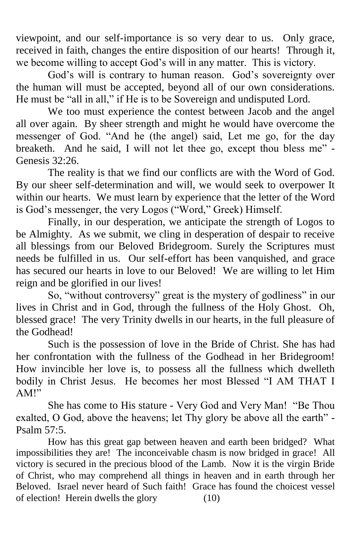viewpoint, and our self-importance is so very dear to us. Only grace, received in faith, changes the entire disposition of our hearts! Through it, we become willing to accept God's will in any matter. This is victory.

God's will is contrary to human reason. God's sovereignty over the human will must be accepted, beyond all of our own considerations. He must be "all in all," if He is to be Sovereign and undisputed Lord.

We too must experience the contest between Jacob and the angel all over again. By sheer strength and might he would have overcome the messenger of God. "And he (the angel) said, Let me go, for the day breaketh. And he said, I will not let thee go, except thou bless me" -Genesis 32:26.

The reality is that we find our conflicts are with the Word of God. By our sheer self-determination and will, we would seek to overpower It within our hearts. We must learn by experience that the letter of the Word is God's messenger, the very Logos ("Word," Greek) Himself.

Finally, in our desperation, we anticipate the strength of Logos to be Almighty. As we submit, we cling in desperation of despair to receive all blessings from our Beloved Bridegroom. Surely the Scriptures must needs be fulfilled in us. Our self-effort has been vanquished, and grace has secured our hearts in love to our Beloved! We are willing to let Him reign and be glorified in our lives!

So, "without controversy" great is the mystery of godliness" in our lives in Christ and in God, through the fullness of the Holy Ghost. Oh, blessed grace! The very Trinity dwells in our hearts, in the full pleasure of the Godhead!

Such is the possession of love in the Bride of Christ. She has had her confrontation with the fullness of the Godhead in her Bridegroom! How invincible her love is, to possess all the fullness which dwelleth bodily in Christ Jesus. He becomes her most Blessed "I AM THAT I AM<sup>!</sup>

She has come to His stature - Very God and Very Man! "Be Thou exalted, O God, above the heavens; let Thy glory be above all the earth" -Psalm  $57:5$ .

How has this great gap between heaven and earth been bridged? What impossibilities they are! The inconceivable chasm is now bridged in grace! All victory is secured in the precious blood of the Lamb. Now it is the virgin Bride of Christ, who may comprehend all things in heaven and in earth through her Beloved. Israel never heard of Such faith! Grace has found the choicest vessel of election! Herein dwells the glory (10)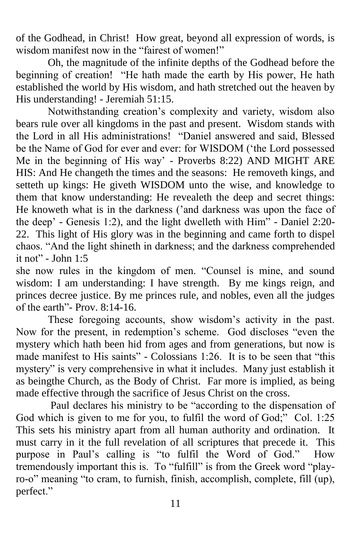of the Godhead, in Christ! How great, beyond all expression of words, is wisdom manifest now in the "fairest of women!"

Oh, the magnitude of the infinite depths of the Godhead before the beginning of creation! "He hath made the earth by His power, He hath established the world by His wisdom, and hath stretched out the heaven by His understanding! - Jeremiah 51:15.

Notwithstanding creation's complexity and variety, wisdom also bears rule over all kingdoms in the past and present. Wisdom stands with the Lord in all His administrations! "Daniel answered and said, Blessed be the Name of God for ever and ever: for WISDOM ('the Lord possessed Me in the beginning of His way' - Proverbs 8:22) AND MIGHT ARE HIS: And He changeth the times and the seasons: He removeth kings, and setteth up kings: He giveth WISDOM unto the wise, and knowledge to them that know understanding: He revealeth the deep and secret things: He knoweth what is in the darkness ('and darkness was upon the face of the deep' - Genesis 1:2), and the light dwelleth with Him" - Daniel 2:20-22. This light of His glory was in the beginning and came forth to dispel chaos. "And the light shineth in darkness; and the darkness comprehended it not" - John  $1:5$ 

she now rules in the kingdom of men. "Counsel is mine, and sound wisdom: I am understanding: I have strength. By me kings reign, and princes decree justice. By me princes rule, and nobles, even all the judges of the earth"-  $P_{\text{TOV}}$ , 8:14-16.

These foregoing accounts, show wisdom's activity in the past. Now for the present, in redemption's scheme. God discloses "even the mystery which hath been hid from ages and from generations, but now is made manifest to His saints" - Colossians  $1:26$ . It is to be seen that "this mystery" is very comprehensive in what it includes. Many just establish it as beingthe Church, as the Body of Christ. Far more is implied, as being made effective through the sacrifice of Jesus Christ on the cross.

Paul declares his ministry to be "according to the dispensation of God which is given to me for you, to fulfil the word of God;" Col. 1:25 This sets his ministry apart from all human authority and ordination. It must carry in it the full revelation of all scriptures that precede it. This purpose in Paul's calling is "to fulfil the Word of God." How tremendously important this is. To "fulfill" is from the Greek word "playro-o" meaning "to cram, to furnish, finish, accomplish, complete, fill (up), perfect."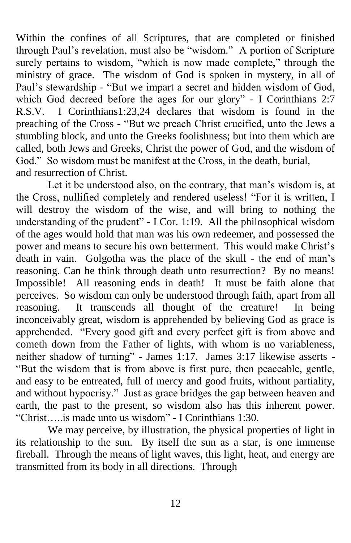Within the confines of all Scriptures, that are completed or finished through Paul's revelation, must also be "wisdom." A portion of Scripture surely pertains to wisdom, "which is now made complete," through the ministry of grace. The wisdom of God is spoken in mystery, in all of Paul's stewardship - "But we impart a secret and hidden wisdom of God, which God decreed before the ages for our glory" - I Corinthians 2:7 R.S.V. I Corinthians1:23,24 declares that wisdom is found in the preaching of the Cross - "But we preach Christ crucified, unto the Jews a stumbling block, and unto the Greeks foolishness; but into them which are called, both Jews and Greeks, Christ the power of God, and the wisdom of God." So wisdom must be manifest at the Cross, in the death, burial, and resurrection of Christ.

Let it be understood also, on the contrary, that man's wisdom is, at the Cross, nullified completely and rendered useless! "For it is written, I will destroy the wisdom of the wise, and will bring to nothing the understanding of the prudent" - I Cor. 1:19. All the philosophical wisdom of the ages would hold that man was his own redeemer, and possessed the power and means to secure his own betterment. This would make Christ's death in vain. Golgotha was the place of the skull - the end of man's reasoning. Can he think through death unto resurrection? By no means! Impossible! All reasoning ends in death! It must be faith alone that perceives. So wisdom can only be understood through faith, apart from all reasoning. It transcends all thought of the creature! In being inconceivably great, wisdom is apprehended by believing God as grace is apprehended. "Every good gift and every perfect gift is from above and cometh down from the Father of lights, with whom is no variableness, neither shadow of turning" - James 1:17. James 3:17 likewise asserts -―But the wisdom that is from above is first pure, then peaceable, gentle, and easy to be entreated, full of mercy and good fruits, without partiality, and without hypocrisy." Just as grace bridges the gap between heaven and earth, the past to the present, so wisdom also has this inherent power. ―Christ…..is made unto us wisdom‖ - I Corinthians 1:30.

We may perceive, by illustration, the physical properties of light in its relationship to the sun. By itself the sun as a star, is one immense fireball. Through the means of light waves, this light, heat, and energy are transmitted from its body in all directions. Through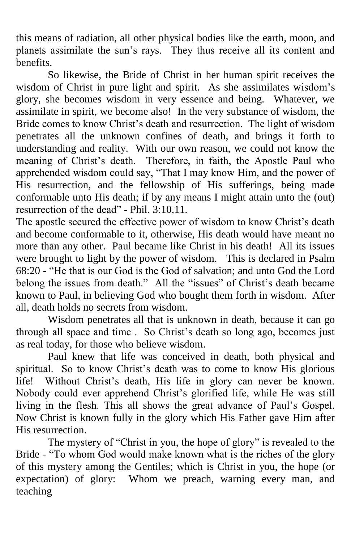this means of radiation, all other physical bodies like the earth, moon, and planets assimilate the sun's rays. They thus receive all its content and benefits.

So likewise, the Bride of Christ in her human spirit receives the wisdom of Christ in pure light and spirit. As she assimilates wisdom's glory, she becomes wisdom in very essence and being. Whatever, we assimilate in spirit, we become also! In the very substance of wisdom, the Bride comes to know Christ's death and resurrection. The light of wisdom penetrates all the unknown confines of death, and brings it forth to understanding and reality. With our own reason, we could not know the meaning of Christ's death. Therefore, in faith, the Apostle Paul who apprehended wisdom could say, "That I may know Him, and the power of His resurrection, and the fellowship of His sufferings, being made conformable unto His death; if by any means I might attain unto the (out) resurrection of the dead" - Phil. 3:10,11.

The apostle secured the effective power of wisdom to know Christ's death and become conformable to it, otherwise, His death would have meant no more than any other. Paul became like Christ in his death! All its issues were brought to light by the power of wisdom. This is declared in Psalm 68:20 - "He that is our God is the God of salvation; and unto God the Lord belong the issues from death." All the "issues" of Christ's death became known to Paul, in believing God who bought them forth in wisdom. After all, death holds no secrets from wisdom.

Wisdom penetrates all that is unknown in death, because it can go through all space and time . So Christ's death so long ago, becomes just as real today, for those who believe wisdom.

Paul knew that life was conceived in death, both physical and spiritual. So to know Christ's death was to come to know His glorious life! Without Christ's death, His life in glory can never be known. Nobody could ever apprehend Christ's glorified life, while He was still living in the flesh. This all shows the great advance of Paul's Gospel. Now Christ is known fully in the glory which His Father gave Him after His resurrection.

The mystery of "Christ in you, the hope of glory" is revealed to the Bride - "To whom God would make known what is the riches of the glory of this mystery among the Gentiles; which is Christ in you, the hope (or expectation) of glory: Whom we preach, warning every man, and teaching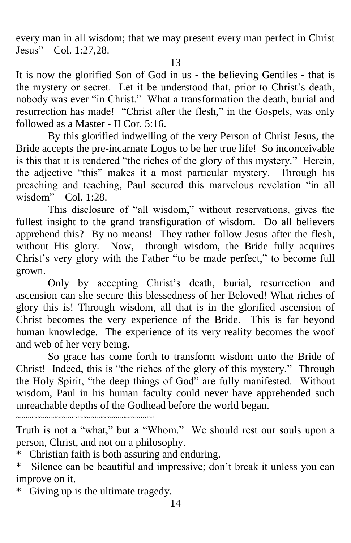every man in all wisdom; that we may present every man perfect in Christ  $Jesus'' - Col. 1:27.28.$ 

It is now the glorified Son of God in us - the believing Gentiles - that is the mystery or secret. Let it be understood that, prior to Christ's death, nobody was ever "in Christ." What a transformation the death, burial and resurrection has made! "Christ after the flesh," in the Gospels, was only followed as a Master - II Cor. 5:16.

By this glorified indwelling of the very Person of Christ Jesus, the Bride accepts the pre-incarnate Logos to be her true life! So inconceivable is this that it is rendered "the riches of the glory of this mystery." Herein, the adjective "this" makes it a most particular mystery. Through his preaching and teaching, Paul secured this marvelous revelation "in all wisdom" $-$ Col. 1:28.

This disclosure of "all wisdom," without reservations, gives the fullest insight to the grand transfiguration of wisdom. Do all believers apprehend this? By no means! They rather follow Jesus after the flesh, without His glory. Now, through wisdom, the Bride fully acquires Christ's very glory with the Father "to be made perfect," to become full grown.

Only by accepting Christ's death, burial, resurrection and ascension can she secure this blessedness of her Beloved! What riches of glory this is! Through wisdom, all that is in the glorified ascension of Christ becomes the very experience of the Bride. This is far beyond human knowledge. The experience of its very reality becomes the woof and web of her very being.

So grace has come forth to transform wisdom unto the Bride of Christ! Indeed, this is "the riches of the glory of this mystery." Through the Holy Spirit, "the deep things of God" are fully manifested. Without wisdom, Paul in his human faculty could never have apprehended such unreachable depths of the Godhead before the world began.

~~~~~~~~~~~~~~~~~~~~~~~~

Truth is not a "what," but a "Whom." We should rest our souls upon a person, Christ, and not on a philosophy.

\* Christian faith is both assuring and enduring.

\* Silence can be beautiful and impressive; don't break it unless you can improve on it.

\* Giving up is the ultimate tragedy.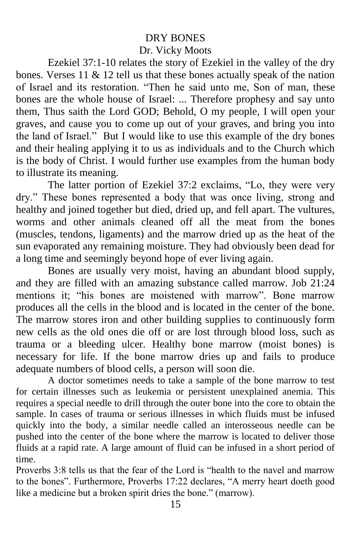# DRY BONES Dr. Vicky Moots

Ezekiel 37:1-10 relates the story of Ezekiel in the valley of the dry bones. Verses 11 & 12 tell us that these bones actually speak of the nation of Israel and its restoration. "Then he said unto me, Son of man, these bones are the whole house of Israel: ... Therefore prophesy and say unto them, Thus saith the Lord GOD; Behold, O my people, I will open your graves, and cause you to come up out of your graves, and bring you into the land of Israel." But I would like to use this example of the dry bones and their healing applying it to us as individuals and to the Church which is the body of Christ. I would further use examples from the human body to illustrate its meaning.

The latter portion of Ezekiel 37:2 exclaims, "Lo, they were very dry." These bones represented a body that was once living, strong and healthy and joined together but died, dried up, and fell apart. The vultures, worms and other animals cleaned off all the meat from the bones (muscles, tendons, ligaments) and the marrow dried up as the heat of the sun evaporated any remaining moisture. They had obviously been dead for a long time and seemingly beyond hope of ever living again.

Bones are usually very moist, having an abundant blood supply, and they are filled with an amazing substance called marrow. Job 21:24 mentions it; "his bones are moistened with marrow". Bone marrow produces all the cells in the blood and is located in the center of the bone. The marrow stores iron and other building supplies to continuously form new cells as the old ones die off or are lost through blood loss, such as trauma or a bleeding ulcer. Healthy bone marrow (moist bones) is necessary for life. If the bone marrow dries up and fails to produce adequate numbers of blood cells, a person will soon die.

A doctor sometimes needs to take a sample of the bone marrow to test for certain illnesses such as leukemia or persistent unexplained anemia. This requires a special needle to drill through the outer bone into the core to obtain the sample. In cases of trauma or serious illnesses in which fluids must be infused quickly into the body, a similar needle called an interosseous needle can be pushed into the center of the bone where the marrow is located to deliver those fluids at a rapid rate. A large amount of fluid can be infused in a short period of time.

Proverbs 3:8 tells us that the fear of the Lord is "health to the navel and marrow to the bones". Furthermore, Proverbs 17:22 declares, "A merry heart doeth good like a medicine but a broken spirit dries the bone." (marrow).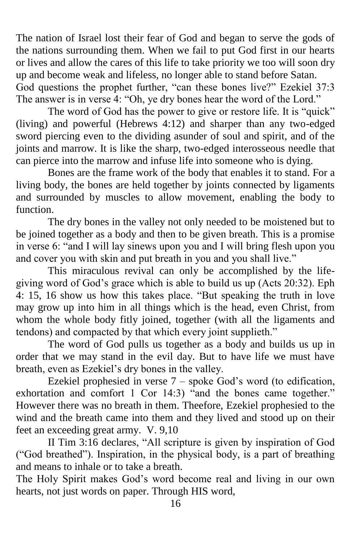The nation of Israel lost their fear of God and began to serve the gods of the nations surrounding them. When we fail to put God first in our hearts or lives and allow the cares of this life to take priority we too will soon dry up and become weak and lifeless, no longer able to stand before Satan. God questions the prophet further, "can these bones live?" Ezekiel 37:3 The answer is in verse 4: "Oh, ye dry bones hear the word of the Lord."

The word of God has the power to give or restore life. It is "quick" (living) and powerful (Hebrews 4:12) and sharper than any two-edged sword piercing even to the dividing asunder of soul and spirit, and of the joints and marrow. It is like the sharp, two-edged interosseous needle that can pierce into the marrow and infuse life into someone who is dying.

Bones are the frame work of the body that enables it to stand. For a living body, the bones are held together by joints connected by ligaments and surrounded by muscles to allow movement, enabling the body to function.

The dry bones in the valley not only needed to be moistened but to be joined together as a body and then to be given breath. This is a promise in verse 6: "and I will lay sinews upon you and I will bring flesh upon you and cover you with skin and put breath in you and you shall live."

This miraculous revival can only be accomplished by the lifegiving word of God's grace which is able to build us up (Acts 20:32). Eph 4: 15, 16 show us how this takes place. "But speaking the truth in love may grow up into him in all things which is the head, even Christ, from whom the whole body fitly joined, together (with all the ligaments and tendons) and compacted by that which every joint supplieth."

The word of God pulls us together as a body and builds us up in order that we may stand in the evil day. But to have life we must have breath, even as Ezekiel's dry bones in the valley.

Ezekiel prophesied in verse 7 – spoke God's word (to edification, exhortation and comfort 1 Cor 14:3) "and the bones came together." However there was no breath in them. Theefore, Ezekiel prophesied to the wind and the breath came into them and they lived and stood up on their feet an exceeding great army. V. 9,10

II Tim 3:16 declares, "All scripture is given by inspiration of God (―God breathed‖). Inspiration, in the physical body, is a part of breathing and means to inhale or to take a breath.

The Holy Spirit makes God's word become real and living in our own hearts, not just words on paper. Through HIS word,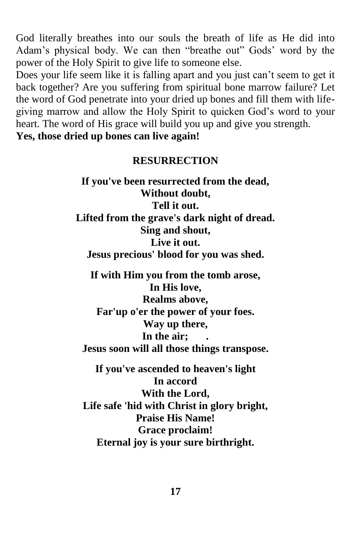God literally breathes into our souls the breath of life as He did into Adam's physical body. We can then "breathe out" Gods' word by the power of the Holy Spirit to give life to someone else.

Does your life seem like it is falling apart and you just can't seem to get it back together? Are you suffering from spiritual bone marrow failure? Let the word of God penetrate into your dried up bones and fill them with lifegiving marrow and allow the Holy Spirit to quicken God's word to your heart. The word of His grace will build you up and give you strength.

**Yes, those dried up bones can live again!**

### **RESURRECTION**

**If you've been resurrected from the dead, Without doubt, Tell it out. Lifted from the grave's dark night of dread. Sing and shout, Live it out. Jesus precious' blood for you was shed.**

**If with Him you from the tomb arose, In His love, Realms above, Far'up o'er the power of your foes. Way up there, In the air; . Jesus soon will all those things transpose.**

**If you've ascended to heaven's light In accord With the Lord, Life safe 'hid with Christ in glory bright, Praise His Name! Grace proclaim! Eternal joy is your sure birthright.**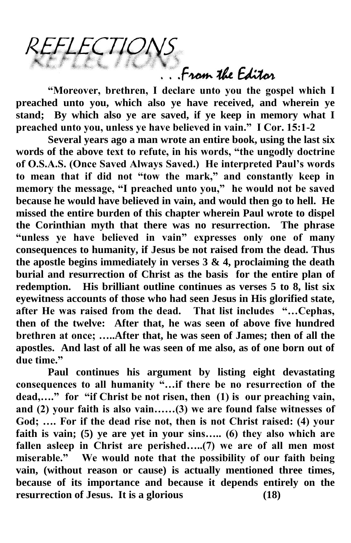From the Editor

**"Moreover, brethren, I declare unto you the gospel which I preached unto you, which also ye have received, and wherein ye stand; By which also ye are saved, if ye keep in memory what I preached unto you, unless ye have believed in vain." I Cor. 15:1-2**

LECTION

**Several years ago a man wrote an entire book, using the last six words of the above text to refute, in his words, "the ungodly doctrine of O.S.A.S. (Once Saved Always Saved.) He interpreted Paul's words to mean that if did not "tow the mark," and constantly keep in memory the message, "I preached unto you," he would not be saved because he would have believed in vain, and would then go to hell. He missed the entire burden of this chapter wherein Paul wrote to dispel the Corinthian myth that there was no resurrection. The phrase "unless ye have believed in vain" expresses only one of many consequences to humanity, if Jesus be not raised from the dead. Thus the apostle begins immediately in verses 3 & 4, proclaiming the death burial and resurrection of Christ as the basis for the entire plan of redemption. His brilliant outline continues as verses 5 to 8, list six eyewitness accounts of those who had seen Jesus in His glorified state, after He was raised from the dead. That list includes "…Cephas, then of the twelve: After that, he was seen of above five hundred brethren at once; …..After that, he was seen of James; then of all the apostles. And last of all he was seen of me also, as of one born out of due time."** 

**Paul continues his argument by listing eight devastating consequences to all humanity "…if there be no resurrection of the dead,…." for "if Christ be not risen, then (1) is our preaching vain, and (2) your faith is also vain……(3) we are found false witnesses of God; …. For if the dead rise not, then is not Christ raised: (4) your faith is vain; (5) ye are yet in your sins….. (6) they also which are**  fallen asleep in Christ are perished.....(7) we are of all men most **miserable." We would note that the possibility of our faith being vain, (without reason or cause) is actually mentioned three times, because of its importance and because it depends entirely on the resurrection of Jesus. It is a glorious (18)**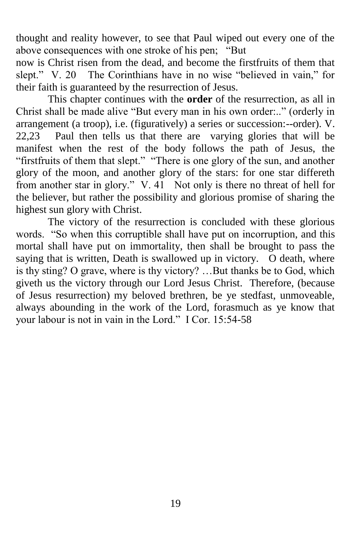thought and reality however, to see that Paul wiped out every one of the above consequences with one stroke of his pen; "But

now is Christ risen from the dead, and become the firstfruits of them that slept." V. 20 The Corinthians have in no wise "believed in vain," for their faith is guaranteed by the resurrection of Jesus.

This chapter continues with the **order** of the resurrection, as all in Christ shall be made alive "But every man in his own order:.." (orderly in arrangement (a troop), i.e. (figuratively) a series or succession:--order). V. 22,23 Paul then tells us that there are varying glories that will be manifest when the rest of the body follows the path of Jesus, the "firstfruits of them that slept." "There is one glory of the sun, and another glory of the moon, and another glory of the stars: for one star differeth from another star in glory." V.  $41$  Not only is there no threat of hell for the believer, but rather the possibility and glorious promise of sharing the highest sun glory with Christ.

The victory of the resurrection is concluded with these glorious words. "So when this corruptible shall have put on incorruption, and this mortal shall have put on immortality, then shall be brought to pass the saying that is written, Death is swallowed up in victory. O death, where is thy sting? O grave, where is thy victory? …But thanks be to God, which giveth us the victory through our Lord Jesus Christ. Therefore, (because of Jesus resurrection) my beloved brethren, be ye stedfast, unmoveable, always abounding in the work of the Lord, forasmuch as ye know that your labour is not in vain in the Lord." I Cor. 15:54-58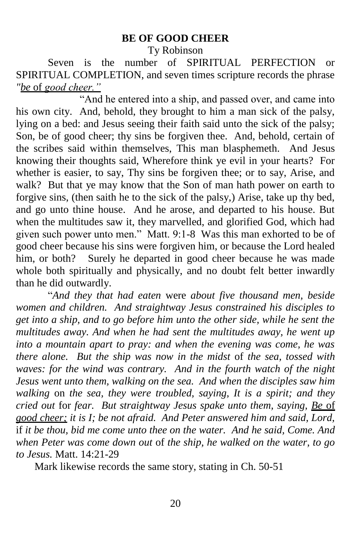### **BE OF GOOD CHEER**

Ty Robinson

Seven is the number of SPIRITUAL PERFECTION or SPIRITUAL COMPLETION, and seven times scripture records the phrase *"be* of *good cheer."*

"And he entered into a ship, and passed over, and came into his own city. And, behold, they brought to him a man sick of the palsy, lying on a bed: and Jesus seeing their faith said unto the sick of the palsy; Son, be of good cheer; thy sins be forgiven thee. And, behold, certain of the scribes said within themselves, This man blasphemeth. And Jesus knowing their thoughts said, Wherefore think ye evil in your hearts? For whether is easier, to say, Thy sins be forgiven thee; or to say, Arise, and walk? But that ye may know that the Son of man hath power on earth to forgive sins, (then saith he to the sick of the palsy,) Arise, take up thy bed, and go unto thine house. And he arose, and departed to his house. But when the multitudes saw it, they marvelled, and glorified God, which had given such power unto men." Matt. 9:1-8 Was this man exhorted to be of good cheer because his sins were forgiven him, or because the Lord healed him, or both? Surely he departed in good cheer because he was made whole both spiritually and physically, and no doubt felt better inwardly than he did outwardly.

―*And they that had eaten* were *about five thousand men, beside women and children. And straightway Jesus constrained his disciples to get into a ship, and to go before him unto the other side, while he sent the multitudes away. And when he had sent the multitudes away, he went up into a mountain apart to pray: and when the evening was come, he was there alone. But the ship was now in the midst* of *the sea, tossed with waves: for the wind was contrary. And in the fourth watch of the night Jesus went unto them, walking on the sea. And when the disciples saw him walking* on *the sea, they were troubled, saying, It is a spirit; and they cried out* for *fear. But straightway Jesus spake unto them, saying, Be* of *good cheer; it is I; be not afraid. And Peter answered him and said, Lord,*  if *it be thou, bid me come unto thee on the water. And he said, Come. And when Peter was come down out* of *the ship, he walked on the water, to go to Jesus.* Matt. 14:21-29

Mark likewise records the same story, stating in Ch. 50-51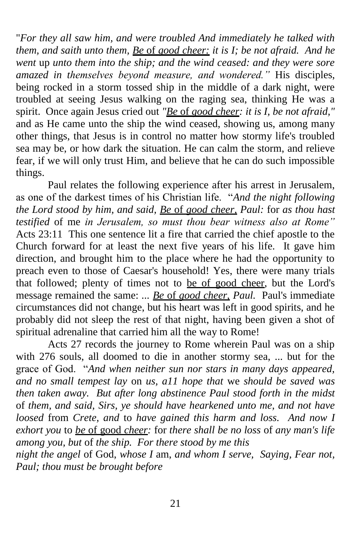"*For they all saw him, and were troubled And immediately he talked with them, and saith unto them, Be* of *good cheer: it is I; be not afraid. And he went* up *unto them into the ship; and the wind ceased: and they were sore amazed in themselves beyond measure, and wondered."* His disciples, being rocked in a storm tossed ship in the middle of a dark night, were troubled at seeing Jesus walking on the raging sea, thinking He was a spirit. Once again Jesus cried out *"Be* of *good cheer: it is I, be not afraid,"*  and as He came unto the ship the wind ceased, showing us, among many other things, that Jesus is in control no matter how stormy life's troubled sea may be, or how dark the situation. He can calm the storm, and relieve fear, if we will only trust Him, and believe that he can do such impossible things.

Paul relates the following experience after his arrest in Jerusalem, as one of the darkest times of his Christian life. "And the night following *the Lord stood by him, and said, Be* of *good cheer, Paul:* for *as thou hast testified* of me *in Jerusalem, so must thou bear witness also at Rome"*  Acts 23:11 This one sentence lit a fire that carried the chief apostle to the Church forward for at least the next five years of his life. It gave him direction, and brought him to the place where he had the opportunity to preach even to those of Caesar's household! Yes, there were many trials that followed; plenty of times not to be of good cheer, but the Lord's message remained the same: *... Be* of *good cheer, Paul.* Paul's immediate circumstances did not change, but his heart was left in good spirits, and he probably did not sleep the rest of that night, having been given a shot of spiritual adrenaline that carried him all the way to Rome!

Acts 27 records the journey to Rome wherein Paul was on a ship with 276 souls, all doomed to die in another stormy sea, ... but for the grace of God. ―*And when neither sun nor stars in many days appeared, and no small tempest lay* on *us, a11 hope that* we *should be saved was then taken away. But after long abstinence Paul stood forth in the midst*  of *them, and said, Sirs, ye should have hearkened unto me, and not have loosed* from *Crete, and* to *have gained this harm and loss. And now I exhort you* to *be* of good *cheer:* for *there shall be no loss* of *any man's life among you, but* of *the ship. For there stood by me this* 

*night the angel* of God, *whose I* am, *and whom I serve, Saying, Fear not, Paul; thou must be brought before*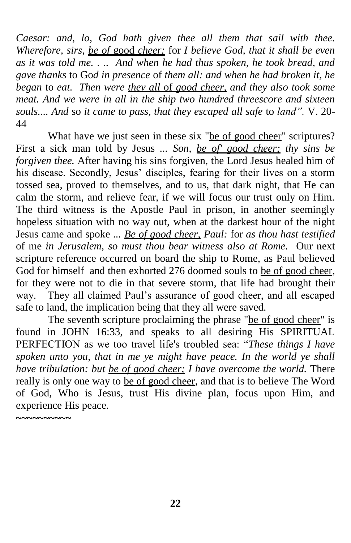*Caesar: and, lo, God hath given thee all them that sail with thee. Wherefore, sirs, be of* good *cheer:* for *I believe God, that it shall be even as it was told me.* . .. *And when he had thus spoken, he took bread, and gave thanks* to Go*d in presence* of *them all: and when he had broken it, he began* to *eat. Then were thev all* of *good cheer, and they also took some meat. And we were in all in the ship two hundred threescore and sixteen souls.... And* so *it came to pass, that they escaped all safe* to *land".* V. 20- 44

What have we just seen in these six "be of good cheer" scriptures? First a sick man told by Jesus *... Son, be of' good cheer; thy sins be forgiven thee.* After having his sins forgiven, the Lord Jesus healed him of his disease. Secondly, Jesus' disciples, fearing for their lives on a storm tossed sea, proved to themselves, and to us, that dark night, that He can calm the storm, and relieve fear, if we will focus our trust only on Him. The third witness is the Apostle Paul in prison, in another seemingly hopeless situation with no way out, when at the darkest hour of the night Jesus came and spoke *... Be of good cheer, Paul:* for *as thou hast testified*  of me *in Jerusalem, so must thou bear witness also at Rome.* Our next scripture reference occurred on board the ship to Rome, as Paul believed God for himself and then exhorted 276 doomed souls to be of good cheer, for they were not to die in that severe storm, that life had brought their way. They all claimed Paul's assurance of good cheer, and all escaped safe to land, the implication being that they all were saved.

The seventh scripture proclaiming the phrase "be of good cheer" is found in JOHN 16:33, and speaks to all desiring His SPIRITUAL PERFECTION as we too travel life's troubled sea: "These things I have *spoken unto you, that in me ye might have peace. In the world ye shall have tribulation: but be of good cheer; I have overcome the world.* There really is only one way to be of good cheer, and that is to believe The Word of God, Who is Jesus, trust His divine plan, focus upon Him, and experience His peace. **~~~~~~~~~~**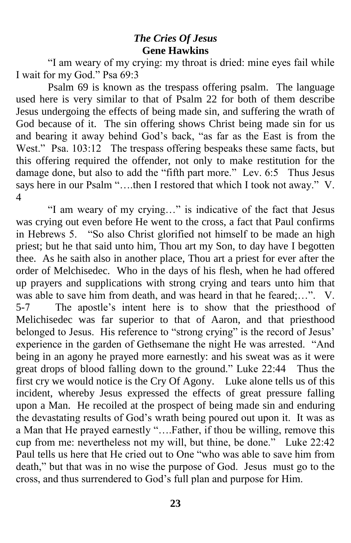# *The Cries Of Jesus* **Gene Hawkins**

"I am weary of my crying: my throat is dried: mine eyes fail while I wait for my God." Psa 69:3

Psalm 69 is known as the trespass offering psalm. The language used here is very similar to that of Psalm 22 for both of them describe Jesus undergoing the effects of being made sin, and suffering the wrath of God because of it. The sin offering shows Christ being made sin for us and bearing it away behind God's back, "as far as the East is from the West." Psa. 103:12 The trespass offering bespeaks these same facts, but this offering required the offender, not only to make restitution for the damage done, but also to add the "fifth part more." Lev. 6:5 Thus Jesus says here in our Psalm "....then I restored that which I took not away." V. 4

"I am weary of my crying..." is indicative of the fact that Jesus was crying out even before He went to the cross, a fact that Paul confirms in Hebrews 5. "So also Christ glorified not himself to be made an high priest; but he that said unto him, Thou art my Son, to day have I begotten thee. As he saith also in another place, Thou art a priest for ever after the order of Melchisedec. Who in the days of his flesh, when he had offered up prayers and supplications with strong crying and tears unto him that was able to save him from death, and was heard in that he feared;…". V. 5-7 The apostle's intent here is to show that the priesthood of Melichisedec was far superior to that of Aaron, and that priesthood belonged to Jesus. His reference to "strong crying" is the record of Jesus' experience in the garden of Gethsemane the night He was arrested. "And being in an agony he prayed more earnestly: and his sweat was as it were great drops of blood falling down to the ground." Luke 22:44 Thus the first cry we would notice is the Cry Of Agony. Luke alone tells us of this incident, whereby Jesus expressed the effects of great pressure falling upon a Man. He recoiled at the prospect of being made sin and enduring the devastating results of God's wrath being poured out upon it. It was as a Man that He prayed earnestly "....Father, if thou be willing, remove this cup from me: nevertheless not my will, but thine, be done." Luke 22:42 Paul tells us here that He cried out to One "who was able to save him from death," but that was in no wise the purpose of God. Jesus must go to the cross, and thus surrendered to God's full plan and purpose for Him.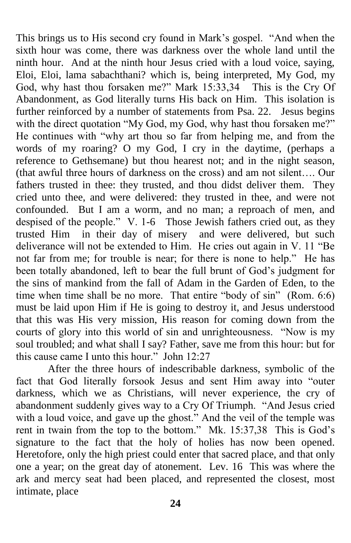This brings us to His second cry found in Mark's gospel. "And when the sixth hour was come, there was darkness over the whole land until the ninth hour. And at the ninth hour Jesus cried with a loud voice, saying, Eloi, Eloi, lama sabachthani? which is, being interpreted, My God, my God, why hast thou forsaken me?" Mark 15:33,34 This is the Cry Of Abandonment, as God literally turns His back on Him. This isolation is further reinforced by a number of statements from Psa. 22. Jesus begins with the direct quotation "My God, my God, why hast thou forsaken me?" He continues with "why art thou so far from helping me, and from the words of my roaring? O my God, I cry in the daytime, (perhaps a reference to Gethsemane) but thou hearest not; and in the night season, (that awful three hours of darkness on the cross) and am not silent…. Our fathers trusted in thee: they trusted, and thou didst deliver them. They cried unto thee, and were delivered: they trusted in thee, and were not confounded. But I am a worm, and no man; a reproach of men, and despised of the people." V. 1-6 Those Jewish fathers cried out, as they trusted Him in their day of misery and were delivered, but such deliverance will not be extended to Him. He cries out again in V. 11 "Be not far from me; for trouble is near; for there is none to help." He has been totally abandoned, left to bear the full brunt of God's judgment for the sins of mankind from the fall of Adam in the Garden of Eden, to the time when time shall be no more. That entire "body of sin" (Rom. 6:6) must be laid upon Him if He is going to destroy it, and Jesus understood that this was His very mission, His reason for coming down from the courts of glory into this world of sin and unrighteousness. "Now is my soul troubled; and what shall I say? Father, save me from this hour: but for this cause came I unto this hour." John 12:27

After the three hours of indescribable darkness, symbolic of the fact that God literally forsook Jesus and sent Him away into "outer darkness, which we as Christians, will never experience, the cry of abandonment suddenly gives way to a Cry Of Triumph. "And Jesus cried with a loud voice, and gave up the ghost." And the veil of the temple was rent in twain from the top to the bottom." Mk. 15:37,38 This is God's signature to the fact that the holy of holies has now been opened. Heretofore, only the high priest could enter that sacred place, and that only one a year; on the great day of atonement.Lev. 16 This was where the ark and mercy seat had been placed, and represented the closest, most intimate, place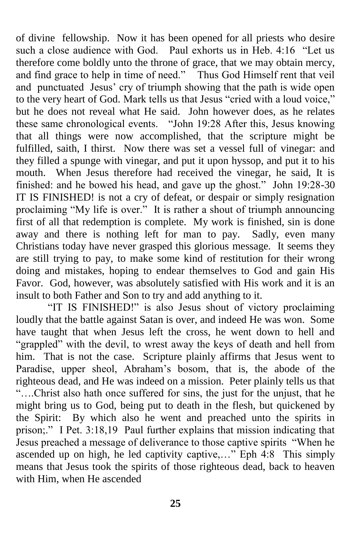of divine fellowship. Now it has been opened for all priests who desire such a close audience with God. Paul exhorts us in Heb. 4:16 "Let us therefore come boldly unto the throne of grace, that we may obtain mercy, and find grace to help in time of need." Thus God Himself rent that veil and punctuated Jesus' cry of triumph showing that the path is wide open to the very heart of God. Mark tells us that Jesus "cried with a loud voice," but he does not reveal what He said. John however does, as he relates these same chronological events. "John 19:28 After this, Jesus knowing that all things were now accomplished, that the scripture might be fulfilled, saith, I thirst. Now there was set a vessel full of vinegar: and they filled a spunge with vinegar, and put it upon hyssop, and put it to his mouth. When Jesus therefore had received the vinegar, he said, It is finished: and he bowed his head, and gave up the ghost." John  $19:28-30$ IT IS FINISHED! is not a cry of defeat, or despair or simply resignation proclaiming "My life is over." It is rather a shout of triumph announcing first of all that redemption is complete. My work is finished, sin is done away and there is nothing left for man to pay. Sadly, even many Christians today have never grasped this glorious message. It seems they are still trying to pay, to make some kind of restitution for their wrong doing and mistakes, hoping to endear themselves to God and gain His Favor. God, however, was absolutely satisfied with His work and it is an insult to both Father and Son to try and add anything to it.

"IT IS FINISHED!" is also Jesus shout of victory proclaiming loudly that the battle against Satan is over, and indeed He was won. Some have taught that when Jesus left the cross, he went down to hell and "grappled" with the devil, to wrest away the keys of death and hell from him. That is not the case. Scripture plainly affirms that Jesus went to Paradise, upper sheol, Abraham's bosom, that is, the abode of the righteous dead, and He was indeed on a mission. Peter plainly tells us that ―….Christ also hath once suffered for sins, the just for the unjust, that he might bring us to God, being put to death in the flesh, but quickened by the Spirit: By which also he went and preached unto the spirits in prison;." I Pet. 3:18,19 Paul further explains that mission indicating that Jesus preached a message of deliverance to those captive spirits "When he ascended up on high, he led captivity captive,..." Eph 4:8 This simply means that Jesus took the spirits of those righteous dead, back to heaven with Him, when He ascended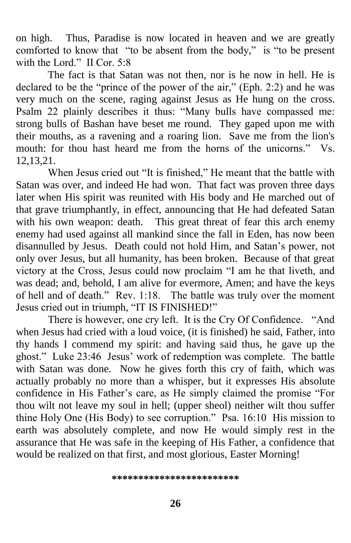on high. Thus, Paradise is now located in heaven and we are greatly comforted to know that "to be absent from the body," is "to be present with the Lord." II Cor. 5:8

The fact is that Satan was not then, nor is he now in hell. He is declared to be the "prince of the power of the air," (Eph. 2:2) and he was very much on the scene, raging against Jesus as He hung on the cross. Psalm 22 plainly describes it thus: "Many bulls have compassed me: strong bulls of Bashan have beset me round. They gaped upon me with their mouths, as a ravening and a roaring lion. Save me from the lion's mouth: for thou hast heard me from the horns of the unicorns." Vs. 12,13,21.

When Jesus cried out "It is finished," He meant that the battle with Satan was over, and indeed He had won. That fact was proven three days later when His spirit was reunited with His body and He marched out of that grave triumphantly, in effect, announcing that He had defeated Satan with his own weapon: death. This great threat of fear this arch enemy enemy had used against all mankind since the fall in Eden, has now been disannulled by Jesus. Death could not hold Him, and Satan's power, not only over Jesus, but all humanity, has been broken. Because of that great victory at the Cross, Jesus could now proclaim "I am he that liveth, and was dead; and, behold, I am alive for evermore, Amen; and have the keys of hell and of death." Rev. 1:18. The battle was truly over the moment Jesus cried out in triumph, "IT IS FINISHED!"

There is however, one cry left. It is the Cry Of Confidence. "And when Jesus had cried with a loud voice, (it is finished) he said, Father, into thy hands I commend my spirit: and having said thus, he gave up the ghost." Luke 23:46 Jesus' work of redemption was complete. The battle with Satan was done. Now he gives forth this cry of faith, which was actually probably no more than a whisper, but it expresses His absolute confidence in His Father's care, as He simply claimed the promise "For thou wilt not leave my soul in hell; (upper sheol) neither wilt thou suffer thine Holy One (His Body) to see corruption." Psa. 16:10 His mission to earth was absolutely complete, and now He would simply rest in the assurance that He was safe in the keeping of His Father, a confidence that would be realized on that first, and most glorious, Easter Morning!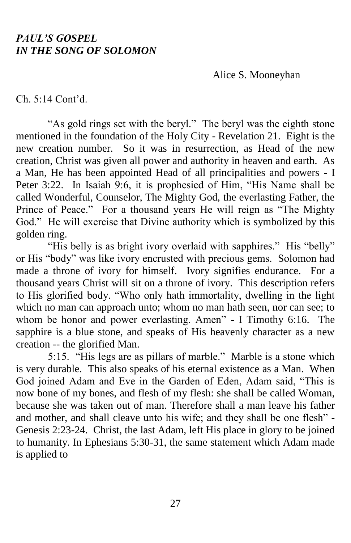### *PAUL'S GOSPEL IN THE SONG OF SOLOMON*

Alice S. Mooneyhan

Ch. 5:14 Cont'd.

"As gold rings set with the beryl." The beryl was the eighth stone mentioned in the foundation of the Holy City - Revelation 21. Eight is the new creation number. So it was in resurrection, as Head of the new creation, Christ was given all power and authority in heaven and earth. As a Man, He has been appointed Head of all principalities and powers - I Peter 3:22. In Isaiah 9:6, it is prophesied of Him, "His Name shall be called Wonderful, Counselor, The Mighty God, the everlasting Father, the Prince of Peace." For a thousand years He will reign as "The Mighty God." He will exercise that Divine authority which is symbolized by this golden ring.

"His belly is as bright ivory overlaid with sapphires." His "belly" or His "body" was like ivory encrusted with precious gems. Solomon had made a throne of ivory for himself. Ivory signifies endurance. For a thousand years Christ will sit on a throne of ivory. This description refers to His glorified body. "Who only hath immortality, dwelling in the light which no man can approach unto; whom no man hath seen, nor can see; to whom be honor and power everlasting. Amen" - I Timothy 6:16. The sapphire is a blue stone, and speaks of His heavenly character as a new creation -- the glorified Man.

5:15. "His legs are as pillars of marble." Marble is a stone which is very durable. This also speaks of his eternal existence as a Man. When God joined Adam and Eve in the Garden of Eden, Adam said, "This is now bone of my bones, and flesh of my flesh: she shall be called Woman, because she was taken out of man. Therefore shall a man leave his father and mother, and shall cleave unto his wife; and they shall be one flesh" -Genesis 2:23-24. Christ, the last Adam, left His place in glory to be joined to humanity. In Ephesians 5:30-31, the same statement which Adam made is applied to

27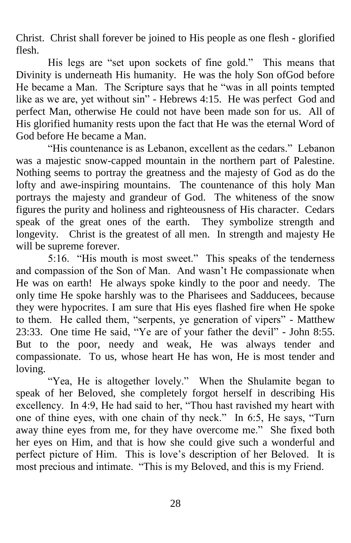Christ. Christ shall forever be joined to His people as one flesh - glorified flesh.

His legs are "set upon sockets of fine gold." This means that Divinity is underneath His humanity. He was the holy Son ofGod before He became a Man. The Scripture says that he "was in all points tempted like as we are, yet without sin" - Hebrews 4:15. He was perfect God and perfect Man, otherwise He could not have been made son for us. All of His glorified humanity rests upon the fact that He was the eternal Word of God before He became a Man.

"His countenance is as Lebanon, excellent as the cedars." Lebanon was a majestic snow-capped mountain in the northern part of Palestine. Nothing seems to portray the greatness and the majesty of God as do the lofty and awe-inspiring mountains. The countenance of this holy Man portrays the majesty and grandeur of God. The whiteness of the snow figures the purity and holiness and righteousness of His character. Cedars speak of the great ones of the earth. They symbolize strength and longevity. Christ is the greatest of all men. In strength and majesty He will be supreme forever.

5:16. "His mouth is most sweet." This speaks of the tenderness and compassion of the Son of Man. And wasn't He compassionate when He was on earth! He always spoke kindly to the poor and needy. The only time He spoke harshly was to the Pharisees and Sadducees, because they were hypocrites. I am sure that His eyes flashed fire when He spoke to them. He called them, "serpents, ye generation of vipers" - Matthew 23:33. One time He said, "Ye are of your father the devil" - John 8:55. But to the poor, needy and weak, He was always tender and compassionate. To us, whose heart He has won, He is most tender and loving.

"Yea, He is altogether lovely." When the Shulamite began to speak of her Beloved, she completely forgot herself in describing His excellency. In 4:9, He had said to her, "Thou hast ravished my heart with one of thine eyes, with one chain of thy neck." In 6:5, He says, "Turn away thine eyes from me, for they have overcome me." She fixed both her eyes on Him, and that is how she could give such a wonderful and perfect picture of Him. This is love's description of her Beloved. It is most precious and intimate. "This is my Beloved, and this is my Friend.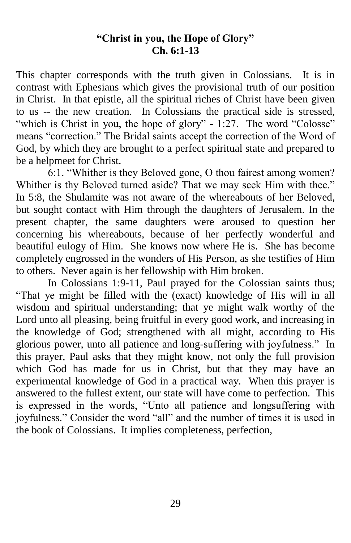## **"Christ in you, the Hope of Glory" Ch. 6:1-13**

This chapter corresponds with the truth given in Colossians. It is in contrast with Ephesians which gives the provisional truth of our position in Christ. In that epistle, all the spiritual riches of Christ have been given to us -- the new creation. In Colossians the practical side is stressed, "which is Christ in you, the hope of glory" - 1:27. The word "Colosse" means "correction." The Bridal saints accept the correction of the Word of God, by which they are brought to a perfect spiritual state and prepared to be a helpmeet for Christ.

6:1. "Whither is they Beloved gone, O thou fairest among women? Whither is thy Beloved turned aside? That we may seek Him with thee." In 5:8, the Shulamite was not aware of the whereabouts of her Beloved, but sought contact with Him through the daughters of Jerusalem. In the present chapter, the same daughters were aroused to question her concerning his whereabouts, because of her perfectly wonderful and beautiful eulogy of Him. She knows now where He is. She has become completely engrossed in the wonders of His Person, as she testifies of Him to others. Never again is her fellowship with Him broken.

In Colossians 1:9-11, Paul prayed for the Colossian saints thus; ―That ye might be filled with the (exact) knowledge of His will in all wisdom and spiritual understanding; that ye might walk worthy of the Lord unto all pleasing, being fruitful in every good work, and increasing in the knowledge of God; strengthened with all might, according to His glorious power, unto all patience and long-suffering with joyfulness." In this prayer, Paul asks that they might know, not only the full provision which God has made for us in Christ, but that they may have an experimental knowledge of God in a practical way. When this prayer is answered to the fullest extent, our state will have come to perfection. This is expressed in the words, "Unto all patience and longsuffering with joyfulness." Consider the word "all" and the number of times it is used in the book of Colossians. It implies completeness, perfection,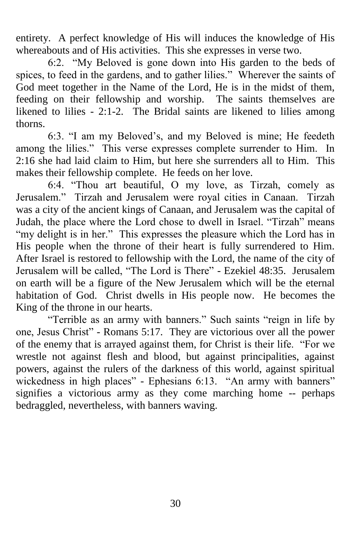entirety. A perfect knowledge of His will induces the knowledge of His whereabouts and of His activities. This she expresses in verse two.

6:2. "My Beloved is gone down into His garden to the beds of spices, to feed in the gardens, and to gather lilies." Wherever the saints of God meet together in the Name of the Lord, He is in the midst of them, feeding on their fellowship and worship. The saints themselves are likened to lilies - 2:1-2. The Bridal saints are likened to lilies among thorns.

6:3. "I am my Beloved's, and my Beloved is mine; He feedeth among the lilies." This verse expresses complete surrender to Him. In 2:16 she had laid claim to Him, but here she surrenders all to Him. This makes their fellowship complete. He feeds on her love.

6:4. "Thou art beautiful, O my love, as Tirzah, comely as Jerusalem." Tirzah and Jerusalem were royal cities in Canaan. Tirzah was a city of the ancient kings of Canaan, and Jerusalem was the capital of Judah, the place where the Lord chose to dwell in Israel. "Tirzah" means "my delight is in her." This expresses the pleasure which the Lord has in His people when the throne of their heart is fully surrendered to Him. After Israel is restored to fellowship with the Lord, the name of the city of Jerusalem will be called, "The Lord is There" - Ezekiel 48:35. Jerusalem on earth will be a figure of the New Jerusalem which will be the eternal habitation of God. Christ dwells in His people now. He becomes the King of the throne in our hearts.

"Terrible as an army with banners." Such saints "reign in life by one, Jesus Christ" - Romans 5:17. They are victorious over all the power of the enemy that is arrayed against them, for Christ is their life. "For we wrestle not against flesh and blood, but against principalities, against powers, against the rulers of the darkness of this world, against spiritual wickedness in high places" - Ephesians 6:13. "An army with banners" signifies a victorious army as they come marching home -- perhaps bedraggled, nevertheless, with banners waving.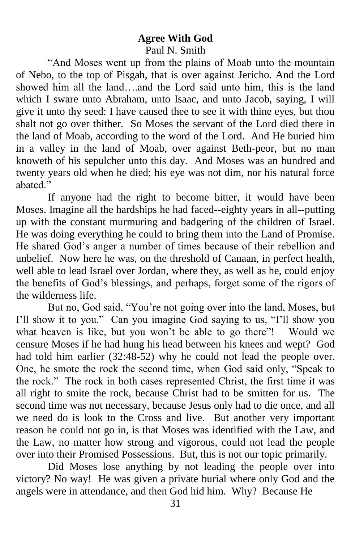# **Agree With God** Paul N. Smith

"And Moses went up from the plains of Moab unto the mountain of Nebo, to the top of Pisgah, that is over against Jericho. And the Lord showed him all the land….and the Lord said unto him, this is the land which I sware unto Abraham, unto Isaac, and unto Jacob, saying, I will give it unto thy seed: I have caused thee to see it with thine eyes, but thou shalt not go over thither. So Moses the servant of the Lord died there in the land of Moab, according to the word of the Lord. And He buried him in a valley in the land of Moab, over against Beth-peor, but no man knoweth of his sepulcher unto this day. And Moses was an hundred and twenty years old when he died; his eye was not dim, nor his natural force abated<sup>"</sup>

If anyone had the right to become bitter, it would have been Moses. Imagine all the hardships he had faced--eighty years in all--putting up with the constant murmuring and badgering of the children of Israel. He was doing everything he could to bring them into the Land of Promise. He shared God's anger a number of times because of their rebellion and unbelief. Now here he was, on the threshold of Canaan, in perfect health, well able to lead Israel over Jordan, where they, as well as he, could enjoy the benefits of God's blessings, and perhaps, forget some of the rigors of the wilderness life.

But no, God said, "You're not going over into the land, Moses, but I'll show it to you." Can you imagine God saying to us, "I'll show you what heaven is like, but you won't be able to go there"! Would we censure Moses if he had hung his head between his knees and wept? God had told him earlier (32:48-52) why he could not lead the people over. One, he smote the rock the second time, when God said only, "Speak to the rock." The rock in both cases represented Christ, the first time it was all right to smite the rock, because Christ had to be smitten for us. The second time was not necessary, because Jesus only had to die once, and all we need do is look to the Cross and live. But another very important reason he could not go in, is that Moses was identified with the Law, and the Law, no matter how strong and vigorous, could not lead the people over into their Promised Possessions. But, this is not our topic primarily.

Did Moses lose anything by not leading the people over into victory? No way! He was given a private burial where only God and the angels were in attendance, and then God hid him. Why? Because He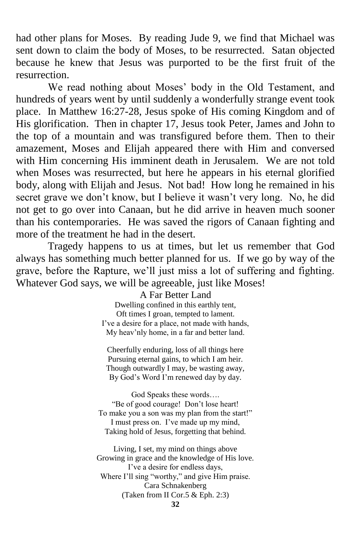had other plans for Moses. By reading Jude 9, we find that Michael was sent down to claim the body of Moses, to be resurrected. Satan objected because he knew that Jesus was purported to be the first fruit of the resurrection.

We read nothing about Moses' body in the Old Testament, and hundreds of years went by until suddenly a wonderfully strange event took place. In Matthew 16:27-28, Jesus spoke of His coming Kingdom and of His glorification. Then in chapter 17, Jesus took Peter, James and John to the top of a mountain and was transfigured before them. Then to their amazement, Moses and Elijah appeared there with Him and conversed with Him concerning His imminent death in Jerusalem. We are not told when Moses was resurrected, but here he appears in his eternal glorified body, along with Elijah and Jesus. Not bad! How long he remained in his secret grave we don't know, but I believe it wasn't very long. No, he did not get to go over into Canaan, but he did arrive in heaven much sooner than his contemporaries. He was saved the rigors of Canaan fighting and more of the treatment he had in the desert.

Tragedy happens to us at times, but let us remember that God always has something much better planned for us. If we go by way of the grave, before the Rapture, we'll just miss a lot of suffering and fighting. Whatever God says, we will be agreeable, just like Moses!

#### A Far Better Land Dwelling confined in this earthly tent, Oft times I groan, tempted to lament. I've a desire for a place, not made with hands, My heav'nly home, in a far and better land.

Cheerfully enduring, loss of all things here Pursuing eternal gains, to which I am heir. Though outwardly I may, be wasting away, By God's Word I'm renewed day by day.

God Speaks these words…. "Be of good courage! Don't lose heart! To make you a son was my plan from the start!" I must press on. I've made up my mind, Taking hold of Jesus, forgetting that behind.

Living, I set, my mind on things above Growing in grace and the knowledge of His love. I've a desire for endless days, Where I'll sing "worthy," and give Him praise. Cara Schnakenberg (Taken from II Cor.5 & Eph. 2:3)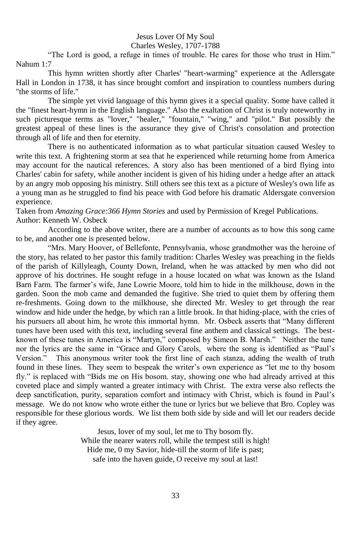# Jesus Lover Of My Soul

Charles Wesley, 1707-1788

"The Lord is good, a refuge in times of trouble. He cares for those who trust in Him." Nahum 1:7

This hymn written shortly after Charles' "heart-warming" experience at the Adlersgate Hall in London in 1738, it has since brought comfort and inspiration to countless numbers during "the storms of life."

The simple yet vivid language of this hymn gives it a special quality. Some have called it the "finest heart-hymn in the English language." Also the exaltation of Christ is truly noteworthy in such picturesque terms as "lover," "healer," "fountain," "wing," and "pilot." But possibly the greatest appeal of these lines is the assurance they give of Christ's consolation and protection through all of life and then for eternity.

There is no authenticated information as to what particular situation caused Wesley to write this text. A frightening storm at sea that he experienced while returning home from America may account for the nautical references. A story also has been mentioned of a bird flying into Charles' cabin for safety, while another incident is given of his hiding under a hedge after an attack by an angry mob opposing his ministry. Still others see this text as a picture of Wesley's own life as a young man as he struggled to find his peace with God before his dramatic Aldersgate conversion experience.

Taken from *Amazing Grace:366 Hymn Stories* and used by Permission of Kregel Publications. Author: Kenneth W. Osbeck

According to the above writer, there are a number of accounts as to how this song came to be, and another one is presented below.

"Mrs. Mary Hoover, of Bellefonte, Pennsylvania, whose grandmother was the heroine of the story, has related to her pastor this family tradition: Charles Wesley was preaching in the fields of the parish of Killyleagh, County Down, Ireland, when he was attacked by men who did not approve of his doctrines. He sought refuge in a house located on what was known as the Island Barn Farm. The farmer's wife, Jane Lowrie Moore, told him to hide in the milkhouse, down in the garden. Soon the mob came and demanded the fugitive. She tried to quiet them by offering them re-freshments. Going down to the milkhouse, she directed Mr. Wesley to get through the rear window and hide under the hedge, by which ran a little brook. In that hiding-place, with the cries of his pursuers all about him, he wrote this immortal hymn. Mr. Osbeck asserts that "Many different tunes have been used with this text, including several fine anthem and classical settings. The bestknown of these tunes in America is "Martyn," composed by Simeon B. Marsh." Neither the tune nor the lyrics are the same in "Grace and Glory Carols, where the song is identified as "Paul's Version." This anonymous writer took the first line of each stanza, adding the wealth of truth found in these lines. They seem to bespeak the writer's own experience as "let me to thy bosom fly." is replaced with "Bids me on His bosom. stay, showing one who had already arrived at this coveted place and simply wanted a greater intimacy with Christ. The extra verse also reflects the deep sanctification, purity, separation comfort and intimacy with Christ, which is found in Paul's message. We do not know who wrote either the tune or lyrics but we believe that Bro. Copley was responsible for these glorious words. We list them both side by side and will let our readers decide if they agree.

> Jesus, lover of my soul, let me to Thy bosom fly. While the nearer waters roll, while the tempest still is high! Hide me, 0 my Savior, hide-till the storm of life is past; safe into the haven guide, O receive my soul at last!